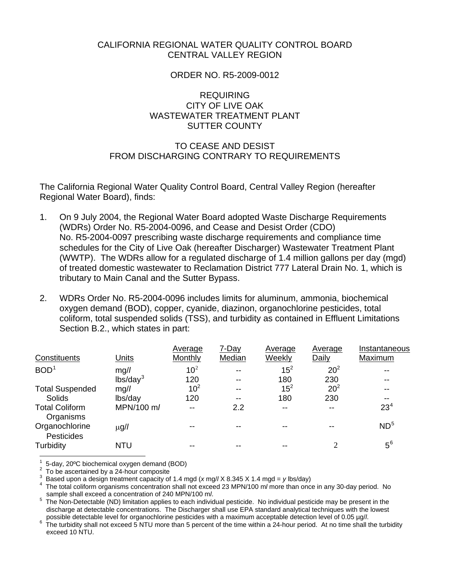### CALIFORNIA REGIONAL WATER QUALITY CONTROL BOARD CENTRAL VALLEY REGION

### ORDER NO. R5-2009-0012

# REQUIRING CITY OF LIVE OAK WASTEWATER TREATMENT PLANT SUTTER COUNTY

## TO CEASE AND DESIST FROM DISCHARGING CONTRARY TO REQUIREMENTS

The California Regional Water Quality Control Board, Central Valley Region (hereafter Regional Water Board), finds:

- 1. On 9 July 2004, the Regional Water Board adopted Waste Discharge Requirements (WDRs) Order No. R5-2004-0096, and Cease and Desist Order (CDO) No. R5-2004-0097 prescribing waste discharge requirements and compliance time schedules for the City of Live Oak (hereafter Discharger) Wastewater Treatment Plant (WWTP). The WDRs allow for a regulated discharge of 1.4 million gallons per day (mgd) of treated domestic wastewater to Reclamation District 777 Lateral Drain No. 1, which is tributary to Main Canal and the Sutter Bypass.
- 2. WDRs Order No. R5-2004-0096 includes limits for aluminum, ammonia, biochemical oxygen demand (BOD), copper, cyanide, diazinon, organochlorine pesticides, total coliform, total suspended solids (TSS), and turbidity as contained in Effluent Limitations Section B.2., which states in part:

<span id="page-0-2"></span>

|                                     |                      | Average         | 7-Day                    | Average | Average         | Instantaneous   |
|-------------------------------------|----------------------|-----------------|--------------------------|---------|-----------------|-----------------|
| <b>Constituents</b>                 | <u>Units</u>         | Monthly         | Median                   | Weekly  | Daily           | Maximum         |
| BOD <sup>1</sup>                    | mg/l                 | 10 <sup>2</sup> | $- -$                    | $15^2$  | 20 <sup>2</sup> | --              |
|                                     | lbs/day <sup>3</sup> | 120             | $- -$                    | 180     | 230             | --              |
| <b>Total Suspended</b>              | mg/l                 | 10 <sup>2</sup> | $- -$                    | $15^2$  | 20 <sup>2</sup> |                 |
| <b>Solids</b>                       | lbs/day              | 120             | $\overline{\phantom{m}}$ | 180     | 230             |                 |
| <b>Total Coliform</b><br>Organisms  | MPN/100 m/           | --              | 2.2                      | $- -$   |                 | 23 <sup>4</sup> |
| Organochlorine<br><b>Pesticides</b> | $\mu$ g/l            |                 |                          |         |                 | ND <sup>5</sup> |
| Turbidity                           | <b>NTU</b>           |                 |                          |         | 2               | $5^6$           |

<span id="page-0-0"></span>1 5-day, 20ºC biochemical oxygen demand (BOD)

<span id="page-0-1"></span><sup>2</sup> To be ascertained by a 24-hour composite

<span id="page-0-3"></span><sup>3</sup> Based upon a design treatment capacity of 1.4 mgd  $(x \text{ mg}//X 8.345 X 1.4 \text{ mgd} = y \text{ lbs/day})$ <br><sup>4</sup> The total soliform arganisms consentration shall not avessed 22 MBN/400 m/mars than anos

<span id="page-0-4"></span>The total coliform organisms concentration shall not exceed 23 MPN/100 m*l* more than once in any 30-day period. No

<span id="page-0-5"></span>sample shall exceed a concentration of 240 MPN/100 m*l*.<br><sup>5</sup> The Non-Detectable (ND) limitation applies to each individual pesticide. No individual pesticide may be present in the discharge at detectable concentrations. The Discharger shall use EPA standard analytical techniques with the lowest

<span id="page-0-6"></span>possible detectable level for organochlorine pesticides with a maximum acceptable detection level of 0.05 µg/*l.*<br>The turbidity shall not exceed 5 NTU more than 5 percent of the time within a 24-hour period. At no time sh exceed 10 NTU.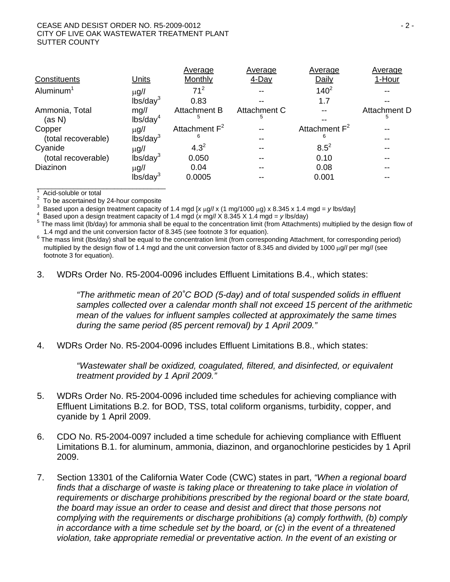#### CEASE AND DESIST ORDER NO. R5-2009-0012 - 2 - CITY OF LIVE OAK WASTEWATER TREATMENT PLANT SUTTER COUNTY

|                     |                      | Average          | Average      | Average                   | Average      |
|---------------------|----------------------|------------------|--------------|---------------------------|--------------|
| Constituents        | Units                | Monthly          | 4-Day        | Daily                     | 1-Hour       |
| Aluminum $1$        | $\mu$ g/l            | 71 <sup>2</sup>  |              | $140^{2}$                 |              |
|                     | lbs/day <sup>3</sup> | 0.83             |              | 1.7                       |              |
| Ammonia, Total      | mg/l                 | Attachment B     | Attachment C |                           | Attachment D |
| (as N)              | lbs/day <sup>4</sup> | 5                | 5            |                           | 5            |
| Copper              | $\mu$ g/l            | Attachment $F^2$ |              | Attachment F <sup>2</sup> |              |
| (total recoverable) | lbs/day <sup>3</sup> | 6                |              | 6                         |              |
| Cyanide             | $\mu$ g/l            | $4.3^{2}$        |              | $8.5^2$                   |              |
| (total recoverable) | lbs/day <sup>3</sup> | 0.050            |              | 0.10                      |              |
| Diazinon            | $\mu$ g/l            | 0.04             |              | 0.08                      |              |
|                     | lbs/day <sup>3</sup> | 0.0005           |              | 0.001                     |              |
|                     |                      |                  |              |                           |              |

1 Acid-soluble or total

2 To be ascertained by 24-hour composite

<sup>3</sup> Based upon a design treatment capacity of 1.4 mgd  $[x \mu g / x (1 \text{ mg}/1000 \mu g) \times 8.345 \times 1.4 \text{ mgd} = y \text{ lbs/day}]$ <br><sup>4</sup> Based upon a design treatment capacity of 1.4 mgd (*y* mg// *X* 8.345 *X* 1.4 mgd - *y* lba/day)

<sup>4</sup> Based upon a design treatment capacity of 1.4 mgd (*x* mg// X 8.345 X 1.4 mgd = *y* lbs/day)

 $5$  The mass limit (lb/day) for ammonia shall be equal to the concentration limit (from Attachments) multiplied by the design flow of

1.4 mgd and the unit conversion factor of 8.345 (see footnote 3 for equation).<br><sup>6</sup> The mass limit (lbs/day) shall be equal to the concentration limit (from corresponding Attachment, for corresponding period) multiplied by the design flow of 1.4 mgd and the unit conversion factor of 8.345 and divided by 1000 μg/*l* per mg/*l* (see footnote 3 for equation).

3. WDRs Order No. R5-2004-0096 includes Effluent Limitations B.4., which states:

*"The arithmetic mean of 20˚C BOD (5-day) and of total suspended solids in effluent samples collected over a calendar month shall not exceed 15 percent of the arithmetic mean of the values for influent samples collected at approximately the same times during the same period (85 percent removal) by 1 April 2009."* 

4. WDRs Order No. R5-2004-0096 includes Effluent Limitations B.8., which states:

*"Wastewater shall be oxidized, coagulated, filtered, and disinfected, or equivalent treatment provided by 1 April 2009."* 

- 5. WDRs Order No. R5-2004-0096 included time schedules for achieving compliance with Effluent Limitations B.2. for BOD, TSS, total coliform organisms, turbidity, copper, and cyanide by 1 April 2009.
- 6. CDO No. R5-2004-0097 included a time schedule for achieving compliance with Effluent Limitations B.1. for aluminum, ammonia, diazinon, and organochlorine pesticides by 1 April 2009.
- 7. Section 13301 of the California Water Code (CWC) states in part, *"When a regional board*  finds that a discharge of waste is taking place or threatening to take place in violation of *requirements or discharge prohibitions prescribed by the regional board or the state board, the board may issue an order to cease and desist and direct that those persons not complying with the requirements or discharge prohibitions (a) comply forthwith, (b) comply in accordance with a time schedule set by the board, or (c) in the event of a threatened violation, take appropriate remedial or preventative action. In the event of an existing or*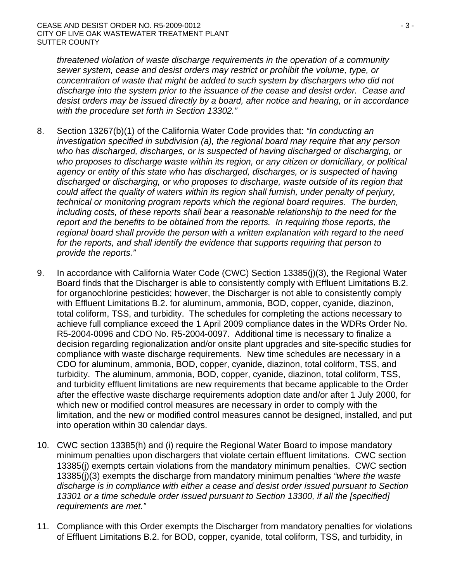*threatened violation of waste discharge requirements in the operation of a community sewer system, cease and desist orders may restrict or prohibit the volume, type, or concentration of waste that might be added to such system by dischargers who did not discharge into the system prior to the issuance of the cease and desist order. Cease and desist orders may be issued directly by a board, after notice and hearing, or in accordance with the procedure set forth in Section 13302."*

- 8. Section 13267(b)(1) of the California Water Code provides that: *"In conducting an investigation specified in subdivision (a), the regional board may require that any person who has discharged, discharges, or is suspected of having discharged or discharging, or who proposes to discharge waste within its region, or any citizen or domiciliary, or political agency or entity of this state who has discharged, discharges, or is suspected of having discharged or discharging, or who proposes to discharge, waste outside of its region that could affect the quality of waters within its region shall furnish, under penalty of perjury, technical or monitoring program reports which the regional board requires. The burden, including costs, of these reports shall bear a reasonable relationship to the need for the report and the benefits to be obtained from the reports. In requiring those reports, the regional board shall provide the person with a written explanation with regard to the need for the reports, and shall identify the evidence that supports requiring that person to provide the reports."*
- 9. In accordance with California Water Code (CWC) Section 13385(j)(3), the Regional Water Board finds that the Discharger is able to consistently comply with Effluent Limitations B.2. for organochlorine pesticides; however, the Discharger is not able to consistently comply with Effluent Limitations B.2. for aluminum, ammonia, BOD, copper, cyanide, diazinon, total coliform, TSS, and turbidity. The schedules for completing the actions necessary to achieve full compliance exceed the 1 April 2009 compliance dates in the WDRs Order No. R5-2004-0096 and CDO No. R5-2004-0097. Additional time is necessary to finalize a decision regarding regionalization and/or onsite plant upgrades and site-specific studies for compliance with waste discharge requirements. New time schedules are necessary in a CDO for aluminum, ammonia, BOD, copper, cyanide, diazinon, total coliform, TSS, and turbidity. The aluminum, ammonia, BOD, copper, cyanide, diazinon, total coliform, TSS, and turbidity effluent limitations are new requirements that became applicable to the Order after the effective waste discharge requirements adoption date and/or after 1 July 2000, for which new or modified control measures are necessary in order to comply with the limitation, and the new or modified control measures cannot be designed, installed, and put into operation within 30 calendar days.
- 10. CWC section 13385(h) and (i) require the Regional Water Board to impose mandatory minimum penalties upon dischargers that violate certain effluent limitations. CWC section 13385(j) exempts certain violations from the mandatory minimum penalties. CWC section 13385(j)(3) exempts the discharge from mandatory minimum penalties *"where the waste discharge is in compliance with either a cease and desist order issued pursuant to Section 13301 or a time schedule order issued pursuant to Section 13300, if all the [specified] requirements are met."*
- 11. Compliance with this Order exempts the Discharger from mandatory penalties for violations of Effluent Limitations B.2. for BOD, copper, cyanide, total coliform, TSS, and turbidity, in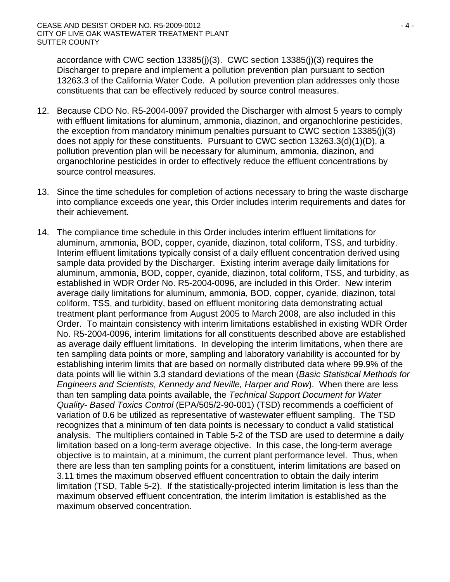accordance with CWC section 13385(j)(3). CWC section 13385(j)(3) requires the Discharger to prepare and implement a pollution prevention plan pursuant to section 13263.3 of the California Water Code. A pollution prevention plan addresses only those constituents that can be effectively reduced by source control measures.

- 12. Because CDO No. R5-2004-0097 provided the Discharger with almost 5 years to comply with effluent limitations for aluminum, ammonia, diazinon, and organochlorine pesticides, the exception from mandatory minimum penalties pursuant to CWC section 13385(j)(3) does not apply for these constituents. Pursuant to CWC section 13263.3(d)(1)(D), a pollution prevention plan will be necessary for aluminum, ammonia, diazinon, and organochlorine pesticides in order to effectively reduce the effluent concentrations by source control measures.
- 13. Since the time schedules for completion of actions necessary to bring the waste discharge into compliance exceeds one year, this Order includes interim requirements and dates for their achievement.
- 14. The compliance time schedule in this Order includes interim effluent limitations for aluminum, ammonia, BOD, copper, cyanide, diazinon, total coliform, TSS, and turbidity. Interim effluent limitations typically consist of a daily effluent concentration derived using sample data provided by the Discharger. Existing interim average daily limitations for aluminum, ammonia, BOD, copper, cyanide, diazinon, total coliform, TSS, and turbidity, as established in WDR Order No. R5-2004-0096, are included in this Order. New interim average daily limitations for aluminum, ammonia, BOD, copper, cyanide, diazinon, total coliform, TSS, and turbidity, based on effluent monitoring data demonstrating actual treatment plant performance from August 2005 to March 2008, are also included in this Order. To maintain consistency with interim limitations established in existing WDR Order No. R5-2004-0096, interim limitations for all constituents described above are established as average daily effluent limitations. In developing the interim limitations, when there are ten sampling data points or more, sampling and laboratory variability is accounted for by establishing interim limits that are based on normally distributed data where 99.9% of the data points will lie within 3.3 standard deviations of the mean (*Basic Statistical Methods for Engineers and Scientists, Kennedy and Neville, Harper and Row*). When there are less than ten sampling data points available, the *Technical Support Document for Water Quality- Based Toxics Control* (EPA/505/2-90-001) (TSD) recommends a coefficient of variation of 0.6 be utilized as representative of wastewater effluent sampling. The TSD recognizes that a minimum of ten data points is necessary to conduct a valid statistical analysis. The multipliers contained in Table 5-2 of the TSD are used to determine a daily limitation based on a long-term average objective. In this case, the long-term average objective is to maintain, at a minimum, the current plant performance level. Thus, when there are less than ten sampling points for a constituent, interim limitations are based on 3.11 times the maximum observed effluent concentration to obtain the daily interim limitation (TSD, Table 5-2). If the statistically-projected interim limitation is less than the maximum observed effluent concentration, the interim limitation is established as the maximum observed concentration.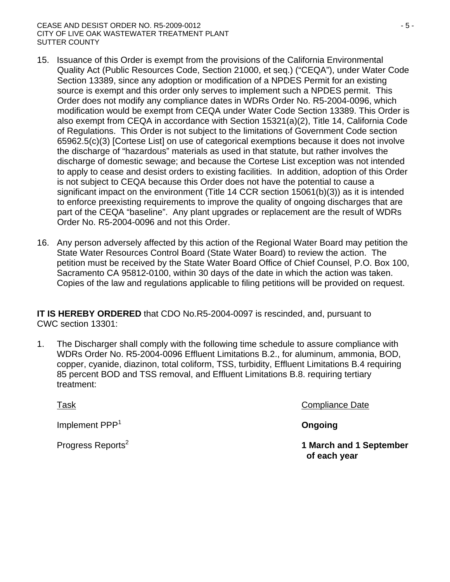#### CEASE AND DESIST ORDER NO. R5-2009-0012 - 5 - CITY OF LIVE OAK WASTEWATER TREATMENT PLANT SUTTER COUNTY

- 15. Issuance of this Order is exempt from the provisions of the California Environmental Quality Act (Public Resources Code, Section 21000, et seq.) ("CEQA"), under Water Code Section 13389, since any adoption or modification of a NPDES Permit for an existing source is exempt and this order only serves to implement such a NPDES permit. This Order does not modify any compliance dates in WDRs Order No. R5-2004-0096, which modification would be exempt from CEQA under Water Code Section 13389. This Order is also exempt from CEQA in accordance with Section 15321(a)(2), Title 14, California Code of Regulations. This Order is not subject to the limitations of Government Code section 65962.5(c)(3) [Cortese List] on use of categorical exemptions because it does not involve the discharge of "hazardous" materials as used in that statute, but rather involves the discharge of domestic sewage; and because the Cortese List exception was not intended to apply to cease and desist orders to existing facilities. In addition, adoption of this Order is not subject to CEQA because this Order does not have the potential to cause a significant impact on the environment (Title 14 CCR section 15061(b)(3)) as it is intended to enforce preexisting requirements to improve the quality of ongoing discharges that are part of the CEQA "baseline". Any plant upgrades or replacement are the result of WDRs Order No. R5-2004-0096 and not this Order.
- 16. Any person adversely affected by this action of the Regional Water Board may petition the State Water Resources Control Board (State Water Board) to review the action. The petition must be received by the State Water Board Office of Chief Counsel, P.O. Box 100, Sacramento CA 95812-0100, within 30 days of the date in which the action was taken. Copies of the law and regulations applicable to filing petitions will be provided on request.

**IT IS HEREBY ORDERED** that CDO No.R5-2004-0097 is rescinded, and, pursuant to CWC section 13301:

1. The Discharger shall comply with the following time schedule to assure compliance with WDRs Order No. R5-2004-0096 Effluent Limitations B.2., for aluminum, ammonia, BOD, copper, cyanide, diazinon, total coliform, TSS, turbidity, Effluent Limitations B.4 requiring 85 percent BOD and TSS removal, and Effluent Limitations B.8. requiring tertiary treatment:

**Implement PPP<sup>1</sup> and Congoing and Congoing and Congoing and Congoing and Congoing** 

Task Compliance Date

Progress Reports2 **1 March and 1 September of each year**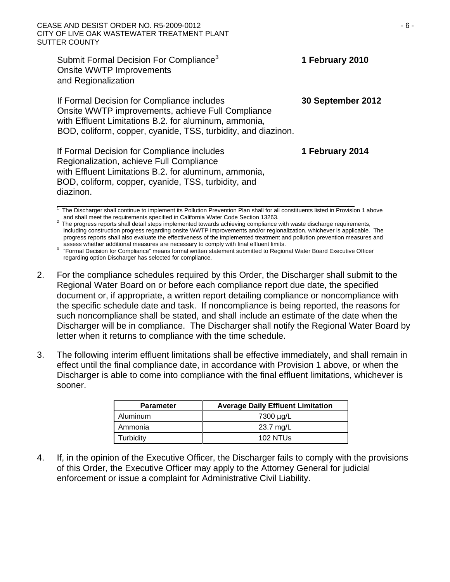#### CEASE AND DESIST ORDER NO. R5-2009-0012 - 6 - CITY OF LIVE OAK WASTEWATER TREATMENT PLANT SUTTER COUNTY

Submit Formal Decision For Compliance<sup>3</sup> **1 February 2010**  Onsite WWTP Improvements and Regionalization If Formal Decision for Compliance includes **30 September 2012** Onsite WWTP improvements, achieve Full Compliance with Effluent Limitations B.2. for aluminum, ammonia, BOD, coliform, copper, cyanide, TSS, turbidity, and diazinon.

If Formal Decision for Compliance includes **1 February 2014** Regionalization, achieve Full Compliance with Effluent Limitations B.2. for aluminum, ammonia, BOD, coliform, copper, cyanide, TSS, turbidity, and diazinon. 1

The Discharger shall continue to implement its Pollution Prevention Plan shall for all constituents listed in Provision 1 above

<sup>2</sup> The progress reports shall detail steps implemented towards achieving compliance with waste discharge requirements, including construction progress regarding onsite WWTP improvements and/or regionalization, whichever is applicable. The progress reports shall also evaluate the effectiveness of the implemented treatment and pollution prevention measures and

assess whether additional measures are necessary to comply with final effluent limits.<br><sup>3</sup> "Formal Decision for Compliance" means formal written statement submitted to Regional Water Board Executive Officer regarding option Discharger has selected for compliance.

- 2. For the compliance schedules required by this Order, the Discharger shall submit to the Regional Water Board on or before each compliance report due date, the specified document or, if appropriate, a written report detailing compliance or noncompliance with the specific schedule date and task. If noncompliance is being reported, the reasons for such noncompliance shall be stated, and shall include an estimate of the date when the Discharger will be in compliance. The Discharger shall notify the Regional Water Board by letter when it returns to compliance with the time schedule.
- 3. The following interim effluent limitations shall be effective immediately, and shall remain in effect until the final compliance date, in accordance with Provision 1 above, or when the Discharger is able to come into compliance with the final effluent limitations, whichever is sooner.

| <b>Parameter</b> | <b>Average Daily Effluent Limitation</b> |
|------------------|------------------------------------------|
| Aluminum         | 7300 µg/L                                |
| Ammonia          | 23.7 mg/L                                |
| Turbidity        | $102$ NTUs                               |

4. If, in the opinion of the Executive Officer, the Discharger fails to comply with the provisions of this Order, the Executive Officer may apply to the Attorney General for judicial enforcement or issue a complaint for Administrative Civil Liability.